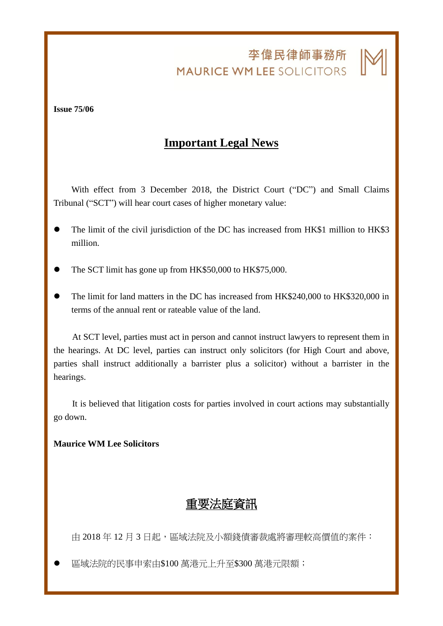李偉民律師事務所 **MAURICE WM LEE SOLICITORS** 

j

**Issue 75/06**

## **Important Legal News**

With effect from 3 December 2018, the District Court ("DC") and Small Claims Tribunal ("SCT") will hear court cases of higher monetary value:

- The limit of the civil jurisdiction of the DC has increased from HK\$1 million to HK\$3 million.
- The SCT limit has gone up from HK\$50,000 to HK\$75,000.
- ⚫ The limit for land matters in the DC has increased from HK\$240,000 to HK\$320,000 in terms of the annual rent or rateable value of the land.

At SCT level, parties must act in person and cannot instruct lawyers to represent them in the hearings. At DC level, parties can instruct only solicitors (for High Court and above, parties shall instruct additionally a barrister plus a solicitor) without a barrister in the hearings.

It is believed that litigation costs for parties involved in court actions may substantially go down.

## **Maurice WM Lee Solicitors**

## 重要法庭資訊

由 2018年12月3日起,區域法院及小額錢債審裁處將審理較高價值的案件:

⚫ 區域法院的民事申索由\$100 萬港元上升至\$300 萬港元限額;